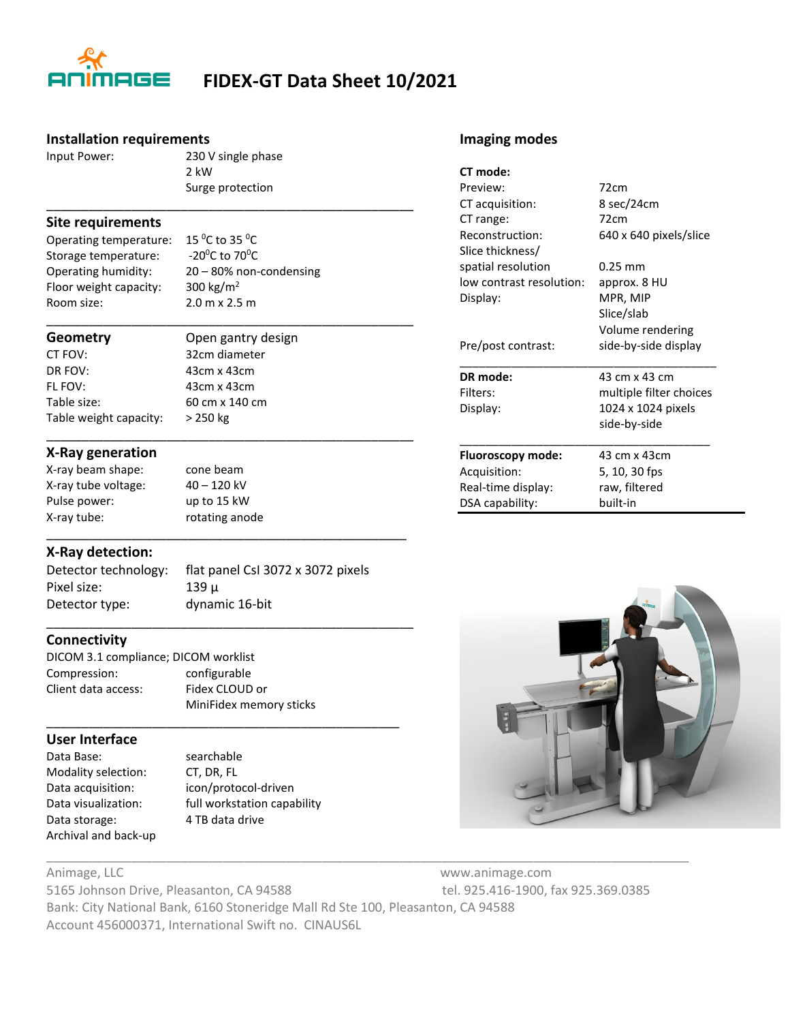

## **FIDEX-GT Data Sheet 10/2021**

#### **Installation requirements**

Input Power: 230 V single phase 2 kW Surge protection

\_\_\_\_\_\_\_\_\_\_\_\_\_\_\_\_\_\_\_\_\_\_\_\_\_\_\_\_\_\_\_\_\_\_\_\_\_\_\_\_\_\_\_\_\_\_\_\_\_\_\_\_

#### **Site requirements**

Operating temperature:  $15 \,^0C$  to 35  $^0C$ <br>Storage temperature:  $-20 \,^0C$  to 70 $^0C$ Storage temperature: Floor weight capacity:  $300 \text{ kg/m}^2$ Room size: 2.0 m x 2.5 m

Operating humidity: 20 – 80% non-condensing

CT FOV: 32cm diameter DR FOV: 43cm x 43cm FL FOV: 43cm x 43cm Table size: 60 cm x 140 cm Table weight capacity: > 250 kg

\_\_\_\_\_\_\_\_\_\_\_\_\_\_\_\_\_\_\_\_\_\_\_\_\_\_\_\_\_\_\_\_\_\_\_\_\_\_\_\_\_\_\_\_\_\_\_\_\_\_\_\_ **Geometry** Open gantry design

\_\_\_\_\_\_\_\_\_\_\_\_\_\_\_\_\_\_\_\_\_\_\_\_\_\_\_\_\_\_\_\_\_\_\_\_\_\_\_\_\_\_\_\_\_\_\_\_\_\_\_\_

\_\_\_\_\_\_\_\_\_\_\_\_\_\_\_\_\_\_\_\_\_\_\_\_\_\_\_\_\_\_\_\_\_\_\_\_\_\_\_\_\_\_\_\_\_\_\_\_\_\_\_

\_\_\_\_\_\_\_\_\_\_\_\_\_\_\_\_\_\_\_\_\_\_\_\_\_\_\_\_\_\_\_\_\_\_\_\_\_\_\_\_\_\_\_\_\_\_\_\_\_\_\_\_

\_\_\_\_\_\_\_\_\_\_\_\_\_\_\_\_\_\_\_\_\_\_\_\_\_\_\_\_\_\_\_\_\_\_\_\_\_\_\_\_\_\_\_\_\_\_\_\_\_\_

#### **X-Ray generation**

X-ray beam shape: cone beam X-ray tube voltage: 40 – 120 kV Pulse power: up to 15 kW X-ray tube: rotating anode

#### **X-Ray detection:**

Pixel size: 139 μ Detector type: dynamic 16-bit

Detector technology: flat panel CsI 3072 x 3072 pixels

#### **Connectivity**

DICOM 3.1 compliance; DICOM worklist Compression: configurable Client data access: Fidex CLOUD or MiniFidex memory sticks

### **User Interface**

Data Base: searchable Modality selection: CT, DR, FL Data acquisition: icon/protocol-driven Data storage: 4 TB data drive Archival and back-up

Data visualization: full workstation capability

\_\_\_\_\_\_\_\_\_\_\_\_\_\_\_\_\_\_\_\_\_\_\_\_\_\_\_\_\_\_\_\_\_\_\_\_\_\_\_\_\_\_\_\_\_\_\_\_\_\_\_\_\_\_\_\_\_\_\_\_\_\_\_\_\_\_\_\_\_\_\_\_\_\_\_\_\_\_\_\_\_\_\_\_\_\_\_\_\_\_\_ Animage, LLC www.animage.com 5165 Johnson Drive, Pleasanton, CA 94588 tel. 925.416-1900, fax 925.369.0385

Bank: City National Bank, 6160 Stoneridge Mall Rd Ste 100, Pleasanton, CA 94588 Account 456000371, International Swift no. CINAUS6L

#### **Imaging modes**

| CT mode:                                 |                            |                  |                        |
|------------------------------------------|----------------------------|------------------|------------------------|
| Preview:<br>CT acquisition:<br>CT range: | 72cm<br>8 sec/24cm<br>72cm |                  |                        |
|                                          |                            | Reconstruction:  | 640 x 640 pixels/slice |
|                                          |                            | Slice thickness/ |                        |
| spatial resolution                       | $0.25 \text{ mm}$          |                  |                        |
| low contrast resolution:                 | approx. 8 HU               |                  |                        |
| Display:                                 | MPR, MIP                   |                  |                        |
|                                          | Slice/slab                 |                  |                        |
|                                          | Volume rendering           |                  |                        |
| Pre/post contrast:                       | side-by-side display       |                  |                        |
| DR mode:                                 | 43 cm x 43 cm              |                  |                        |
| Filters:                                 | multiple filter choices    |                  |                        |
| Display:                                 | 1024 x 1024 pixels         |                  |                        |
|                                          | side-by-side               |                  |                        |
| Fluoroscopy mode:                        | 43 cm x 43 cm              |                  |                        |
| Acquisition:                             | 5, 10, 30 fps              |                  |                        |
| Real-time display:                       | raw, filtered              |                  |                        |
| DSA capability:                          | built-in                   |                  |                        |